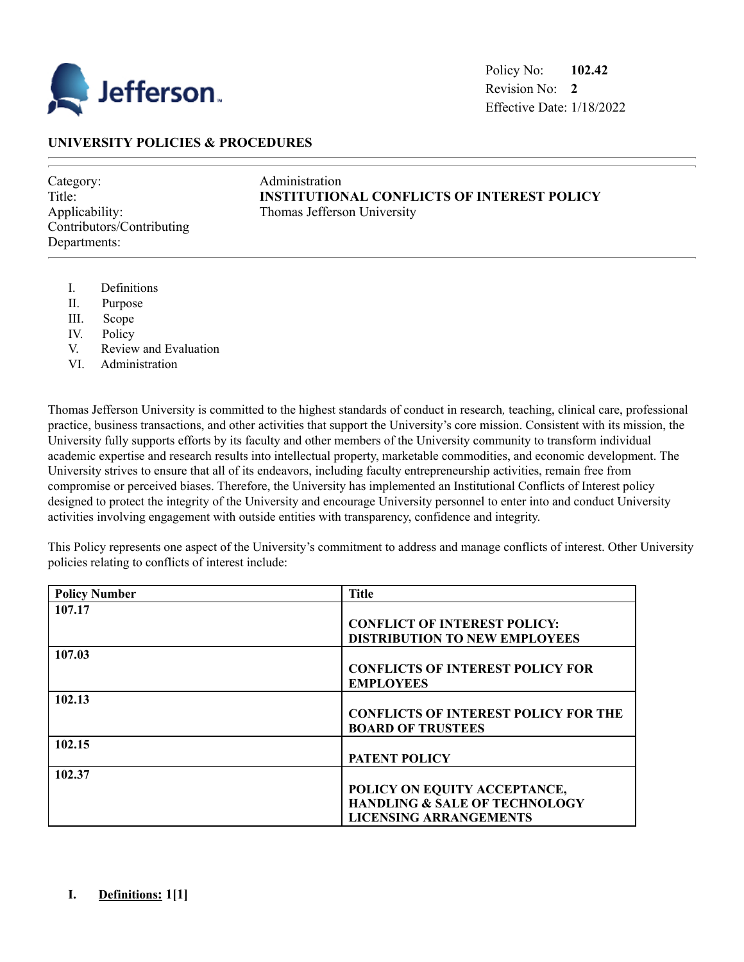

# **UNIVERSITY POLICIES & PROCEDURES**

Category: Administration Contributors/Contributing Departments:

Title: **INSTITUTIONAL CONFLICTS OF INTEREST POLICY** Applicability: Thomas Jefferson University

- I. Definitions
- II. Purpose
- III. Scope
- IV. Policy
- V. Review and Evaluation
- VI. Administration

Thomas Jefferson University is committed to the highest standards of conduct in research*,* teaching, clinical care, professional practice, business transactions, and other activities that support the University's core mission. Consistent with its mission, the University fully supports efforts by its faculty and other members of the University community to transform individual academic expertise and research results into intellectual property, marketable commodities, and economic development. The University strives to ensure that all of its endeavors, including faculty entrepreneurship activities, remain free from compromise or perceived biases. Therefore, the University has implemented an Institutional Conflicts of Interest policy designed to protect the integrity of the University and encourage University personnel to enter into and conduct University activities involving engagement with outside entities with transparency, confidence and integrity.

This Policy represents one aspect of the University's commitment to address and manage conflicts of interest. Other University policies relating to conflicts of interest include:

| <b>Policy Number</b> | <b>Title</b>                                |
|----------------------|---------------------------------------------|
| 107.17               |                                             |
|                      | <b>CONFLICT OF INTEREST POLICY:</b>         |
|                      | <b>DISTRIBUTION TO NEW EMPLOYEES</b>        |
| 107.03               |                                             |
|                      | <b>CONFLICTS OF INTEREST POLICY FOR</b>     |
|                      | <b>EMPLOYEES</b>                            |
| 102.13               |                                             |
|                      | <b>CONFLICTS OF INTEREST POLICY FOR THE</b> |
|                      | <b>BOARD OF TRUSTEES</b>                    |
| 102.15               |                                             |
|                      | <b>PATENT POLICY</b>                        |
| 102.37               |                                             |
|                      | POLICY ON EQUITY ACCEPTANCE,                |
|                      | <b>HANDLING &amp; SALE OF TECHNOLOGY</b>    |
|                      | <b>LICENSING ARRANGEMENTS</b>               |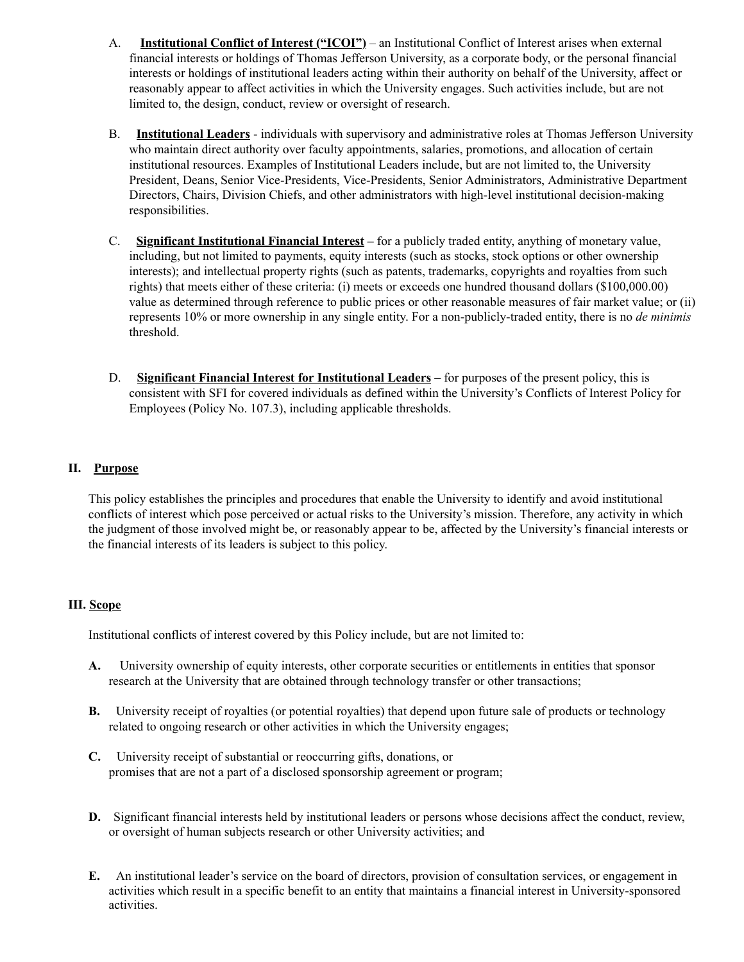- A. **Institutional Conflict of Interest ("ICOI")** an Institutional Conflict of Interest arises when external financial interests or holdings of Thomas Jefferson University, as a corporate body, or the personal financial interests or holdings of institutional leaders acting within their authority on behalf of the University, affect or reasonably appear to affect activities in which the University engages. Such activities include, but are not limited to, the design, conduct, review or oversight of research.
- B. **Institutional Leaders** individuals with supervisory and administrative roles at Thomas Jefferson University who maintain direct authority over faculty appointments, salaries, promotions, and allocation of certain institutional resources. Examples of Institutional Leaders include, but are not limited to, the University President, Deans, Senior Vice-Presidents, Vice-Presidents, Senior Administrators, Administrative Department Directors, Chairs, Division Chiefs, and other administrators with high-level institutional decision-making responsibilities.
- C. **Significant Institutional Financial Interest –** for a publicly traded entity, anything of monetary value, including, but not limited to payments, equity interests (such as stocks, stock options or other ownership interests); and intellectual property rights (such as patents, trademarks, copyrights and royalties from such rights) that meets either of these criteria: (i) meets or exceeds one hundred thousand dollars (\$100,000.00) value as determined through reference to public prices or other reasonable measures of fair market value; or (ii) represents 10% or more ownership in any single entity. For a non-publicly-traded entity, there is no *de minimis* threshold.
- D. **Significant Financial Interest for Institutional Leaders** for purposes of the present policy, this is consistent with SFI for covered individuals as defined within the University's Conflicts of Interest Policy for Employees (Policy No. 107.3), including applicable thresholds.

## **II. Purpose**

This policy establishes the principles and procedures that enable the University to identify and avoid institutional conflicts of interest which pose perceived or actual risks to the University's mission. Therefore, any activity in which the judgment of those involved might be, or reasonably appear to be, affected by the University's financial interests or the financial interests of its leaders is subject to this policy.

## **III. Scope**

Institutional conflicts of interest covered by this Policy include, but are not limited to:

- **A.** University ownership of equity interests, other corporate securities or entitlements in entities that sponsor research at the University that are obtained through technology transfer or other transactions;
- **B.** University receipt of royalties (or potential royalties) that depend upon future sale of products or technology related to ongoing research or other activities in which the University engages;
- **C.** University receipt of substantial or reoccurring gifts, donations, or promises that are not a part of a disclosed sponsorship agreement or program;
- **D.** Significant financial interests held by institutional leaders or persons whose decisions affect the conduct, review, or oversight of human subjects research or other University activities; and
- **E.** An institutional leader's service on the board of directors, provision of consultation services, or engagement in activities which result in a specific benefit to an entity that maintains a financial interest in University-sponsored activities.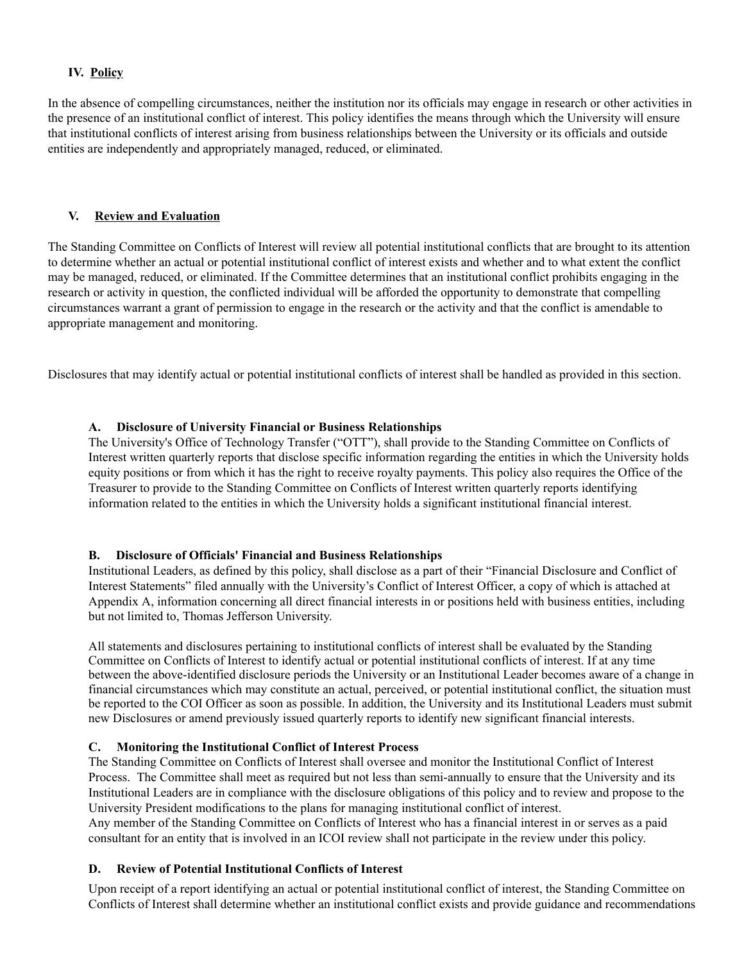### **IV. Policy**

In the absence of compelling circumstances, neither the institution nor its officials may engage in research or other activities in the presence of an institutional conflict of interest. This policy identifies the means through which the University will ensure that institutional conflicts of interest arising from business relationships between the University or its officials and outside entities are independently and appropriately managed, reduced, or eliminated.

#### **V. Review and Evaluation**

The Standing Committee on Conflicts of Interest will review all potential institutional conflicts that are brought to its attention to determine whether an actual or potential institutional conflict of interest exists and whether and to what extent the conflict may be managed, reduced, or eliminated. If the Committee determines that an institutional conflict prohibits engaging in the research or activity in question, the conflicted individual will be afforded the opportunity to demonstrate that compelling circumstances warrant a grant of permission to engage in the research or the activity and that the conflict is amendable to appropriate management and monitoring.

Disclosures that may identify actual or potential institutional conflicts of interest shall be handled as provided in this section.

### **A. Disclosure of University Financial or Business Relationships**

The University's Office of Technology Transfer ("OTT"), shall provide to the Standing Committee on Conflicts of Interest written quarterly reports that disclose specific information regarding the entities in which the University holds equity positions or from which it has the right to receive royalty payments. This policy also requires the Office of the Treasurer to provide to the Standing Committee on Conflicts of Interest written quarterly reports identifying information related to the entities in which the University holds a significant institutional financial interest.

#### **B. Disclosure of Officials' Financial and Business Relationships**

Institutional Leaders, as defined by this policy, shall disclose as a part of their "Financial Disclosure and Conflict of Interest Statements" filed annually with the University's Conflict of Interest Officer, a copy of which is attached at Appendix A, information concerning all direct financial interests in or positions held with business entities, including but not limited to, Thomas Jefferson University.

All statements and disclosures pertaining to institutional conflicts of interest shall be evaluated by the Standing Committee on Conflicts of Interest to identify actual or potential institutional conflicts of interest. If at any time between the above-identified disclosure periods the University or an Institutional Leader becomes aware of a change in financial circumstances which may constitute an actual, perceived, or potential institutional conflict, the situation must be reported to the COI Officer as soon as possible. In addition, the University and its Institutional Leaders must submit new Disclosures or amend previously issued quarterly reports to identify new significant financial interests.

## **C. Monitoring the Institutional Conflict of Interest Process**

The Standing Committee on Conflicts of Interest shall oversee and monitor the Institutional Conflict of Interest Process. The Committee shall meet as required but not less than semi-annually to ensure that the University and its Institutional Leaders are in compliance with the disclosure obligations of this policy and to review and propose to the University President modifications to the plans for managing institutional conflict of interest.

Any member of the Standing Committee on Conflicts of Interest who has a financial interest in or serves as a paid consultant for an entity that is involved in an ICOI review shall not participate in the review under this policy.

## **D. Review of Potential Institutional Conflicts of Interest**

Upon receipt of a report identifying an actual or potential institutional conflict of interest, the Standing Committee on Conflicts of Interest shall determine whether an institutional conflict exists and provide guidance and recommendations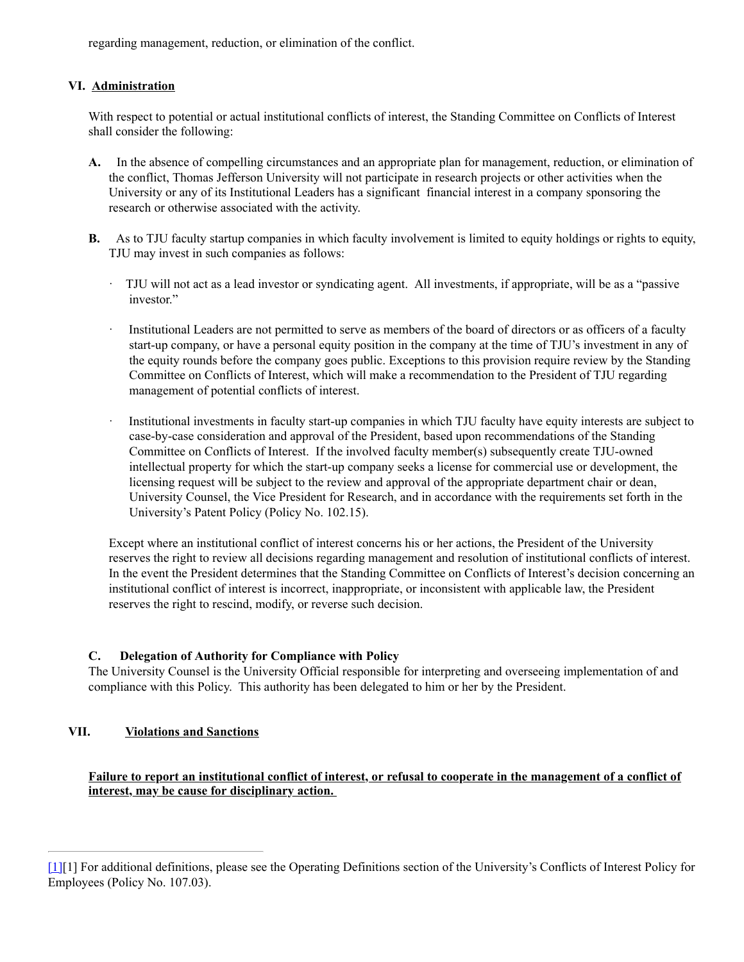regarding management, reduction, or elimination of the conflict.

## **VI. Administration**

With respect to potential or actual institutional conflicts of interest, the Standing Committee on Conflicts of Interest shall consider the following:

- **A.** In the absence of compelling circumstances and an appropriate plan for management, reduction, or elimination of the conflict, Thomas Jefferson University will not participate in research projects or other activities when the University or any of its Institutional Leaders has a significant financial interest in a company sponsoring the research or otherwise associated with the activity.
- **B.** As to TJU faculty startup companies in which faculty involvement is limited to equity holdings or rights to equity, TJU may invest in such companies as follows:
	- · TJU will not act as a lead investor or syndicating agent. All investments, if appropriate, will be as a "passive investor."
	- · Institutional Leaders are not permitted to serve as members of the board of directors or as officers of a faculty start-up company, or have a personal equity position in the company at the time of TJU's investment in any of the equity rounds before the company goes public. Exceptions to this provision require review by the Standing Committee on Conflicts of Interest, which will make a recommendation to the President of TJU regarding management of potential conflicts of interest.
	- Institutional investments in faculty start-up companies in which TJU faculty have equity interests are subject to case-by-case consideration and approval of the President, based upon recommendations of the Standing Committee on Conflicts of Interest. If the involved faculty member(s) subsequently create TJU-owned intellectual property for which the start-up company seeks a license for commercial use or development, the licensing request will be subject to the review and approval of the appropriate department chair or dean, University Counsel, the Vice President for Research, and in accordance with the requirements set forth in the University's Patent Policy (Policy No. 102.15).

Except where an institutional conflict of interest concerns his or her actions, the President of the University reserves the right to review all decisions regarding management and resolution of institutional conflicts of interest. In the event the President determines that the Standing Committee on Conflicts of Interest's decision concerning an institutional conflict of interest is incorrect, inappropriate, or inconsistent with applicable law, the President reserves the right to rescind, modify, or reverse such decision.

## **C. Delegation of Authority for Compliance with Policy**

The University Counsel is the University Official responsible for interpreting and overseeing implementation of and compliance with this Policy. This authority has been delegated to him or her by the President.

# **VII. Violations and Sanctions**

**Failure to report an institutional conflict of interest, or refusal to cooperate in the management of a conflict of interest, may be cause for disciplinary action.**

<sup>[1][1]</sup> For additional definitions, please see the Operating Definitions section of the University's Conflicts of Interest Policy for Employees (Policy No. 107.03).